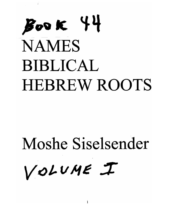# $300K$  44 **NAMES** BIBLICAL **HEBREW ROOTS**

# Moshe Siselsender VOLUME I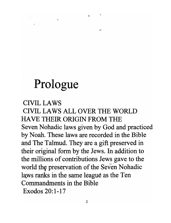# Prologue

#### CIVIL LAWS CIVIL LA WS ALL OVER THE WORLD HAVE THEIR ORIGIN FROM THE Seven Nohadic laws given by God and practiced by Noah. These laws are recorded in the Bible and The Talmud. They are a gift preserved in their original form by the Jews. In addition to the millions of contributions Jews gave to the world the preservation of the Seven Nohadic laws ranks in the same league as the Ten Commandments in the Bible Exodos 20:1-17

";.'

 $\ddot{\bm{\zeta}}$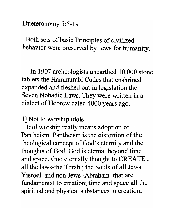Dueteronomy 5:5-19.

Both sets of basic Principles of civilized behavior were preserved by Jews for humanity.

In 1907 archeologists unearthed 10,000 stone tablets the Hammurabi Codes that enshrined expanded and fleshed out in legislation the Seven Nohadic Laws. They were written in a dialect of Hebrew dated 4000 years ago.

1] Not to worship idols

Idol worship really means adoption of Pantheism. Pantheism is the distortion of the theological concept of God's eternity and the thoughts of God. God is eternal beyond time and space. God eternally thought to CREATE; all the laws-the Torah; the Souls of all Jews Yisroel and non Jews -Abraham that are fundamental to creation; time and space all the spiritual and physical substances in creation;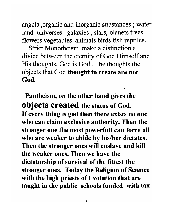angels ,organic and inorganic substances ; water land universes galaxies, stars, planets trees flowers vegetables animals birds fish reptiles.

Strict Monotheism make a distinction a divide between the eternity of God Himself and His thoughts. God is God . The thoughts the objects that God thought to create are not God.

Pantheism, on the other hand gives the objects created the status of God. If every thing is god then there exists no one who can claim exclusive authority. Then the stronger one the most powerfull can force all who are weaker to abide by his/her dictates. Then the stronger ones will enslave and kill the weaker ones. Then we have the dictatorship of survival of the fittest the stronger ones. Today the Religion of Science with the high priests of Evolution that are taught in the public schools funded with tax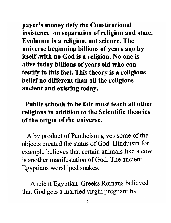payer's money defy the Constitutional insistence on separation of religion and state. Evolution is a religion, not science. The universe beginning billions of years ago by itself ,with no God is a religion. No one is alive today billions of years old who can testify to this fact. This theory is a religious belief no different than all the religions ancient and existing today.

#### Public schools to be fair must teach all other religions in addition to the Scientific theories of the origin of the universe.

A by product of Pantheism gives some of the objects created the status of God. Hinduism for example believes that certain animals like a cow is another manifestation of God. The ancient Egyptians worshiped snakes.

Ancient Egyptian Greeks Romans believed that God gets a married virgin pregnant by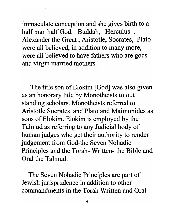immaculate conception and she gives birth to a half man half God. Buddah, Herculus , Alexander the Great, Aristotle, Socrates, Plato were all believed, in addition to many more, were all believed to have fathers who are gods and virgin married mothers.

The title son of Elokim [God] was also given as an honorary title by Monotheists to out standing scholars. Monotheists referred to Aristotle Socrates and Plato and Maimonides as sons of Elokim. Elokim is employed by the Talmud as referring to any Judicial body of human judges who get their authority to render judgement from God-the Seven Nohadic Principles and the Torah- Written- the Bible and Oral the Talmud.

The Seven Nohadic Principles are part of Jewish jurisprudence in addition to other commandments in the Torah Written and Oral -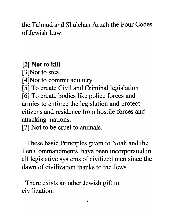the Talmud and Shulchan Aruch the Four Codes of Jewish Law.

#### [2] Not to kill

[3]Not to steal [4] Not to commit adultery [5] To create Civil and Criminal legislation [6] To create bodies like police forces and armies to enforce the legislation and protect citizens and residence from hostile forces and attacking nations.

[7] Not to be cruel to animals.

These basic Principles given to Noah and the Ten Commandments have been incorporated in all legislative systems of civilized men since the dawn of civilization thanks to the Jews.

There exists an other Jewish gift to civilization.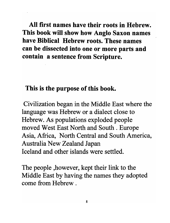All first names have their roots in Hebrew. This book will show how Anglo Saxon names have Biblical Hebrew roots. These names can be dissected into one or more parts and contain a sentence from Scripture.

#### This is the purpose of this book.

Civilization began in the Middle East where the language was Hebrew or a dialect close to Hebrew. As populations exploded people moved West East North and South. Europe Asia, Africa, North Central and South America, Australia New Zealand Japan Iceland and other islands were settled.

The people ,however, kept their link to the Middle East by having the names they adopted come from Hebrew.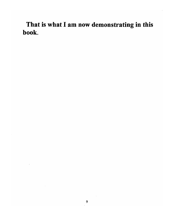That is what I am now demonstrating in this book.

 $\epsilon$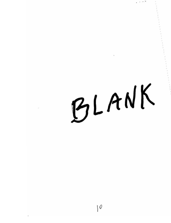BLANK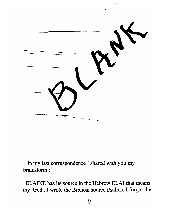

In my last correspondence I shared with you my brainstorm :

ELAINE has its source in the Hebrew ELAI that means my God. I wrote the Biblical source Psalms. I forgot the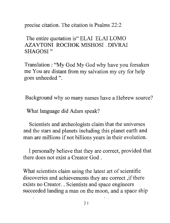precise citation. The citation is Psalms 22:2

The entire quotation is" ELAI ELAI LOMO AZAVTONI ROCHOK MISHOSI , DIVRAI SHAGOSI"

Translation : "My God My God why have you forsaken me You are distant from my salvation my cry for help goes unheeded ".

Background why so many names have a Hebrew source?

What language did Adam speak?

Scientists and archeologists claim 'that the universes and the stars and planets including this planet earth and man are millions if not billions years in their evolution.

I personally believe that they are correct, provided that there does not exist a Creator God .

What scientists claim using the latest art of scientific discoveries and achievements they. are correct ,if there exists no Creator. . Scientists and space engineers succeeded landing a man on the moon, and a space ship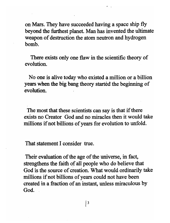on Mars. They have succeeded having a space ship fly beyond the furthest planet. Man has invented the ultimate weapon of destruction the atom neutron and hydrogen bomb.

There exists only one flaw in the scientific theory of evolution.

No one is alive today who existed a million or a billion years when the big bang theory started the beginning of evolution.

The most that these scientists can say is that if there exists no Creator God and no miracles then it would take millions if not billions of years for evolution to unfold.

That statement I consider true.

Their evaluation of the age of the universe, in fact, strengthens the faith of all people who do believe that God is the source of creation. What would ordinarily take millions if not billions of years could not have been created in a fraction of an instant, unless miraculous by God.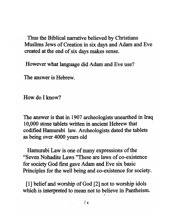Thus the Biblical narrative believed by Christians Muslims Jews of Creation in six days and Adam and Eve created at the end of six days makes sense.

However what language did Adam and Eve use?

The answer is Hebrew.

How do I know?

The answer is that in 1907 archeologists unearthed in Iraq 10,000 stone tablets written in ancient Hebrew that codified Hamurabi law. Archeologists dated the tablets as being over 4000 years old

Hamurabi Law is one of many expressions of the "Seven Nohadite Laws "These are laws of co-existence for society God first gave Adam and Eve six basic Principles for the well being and co-existence for society.

[1] belief and worship of God [2] not to worship idols which is interpreted to mean not to believe in Pantheism. .<br>^ . .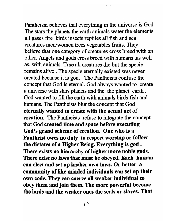Pantheism believes that everything in the universe is God. The stars the planets the earth animals water the elements all gases fire birds insects reptiles all fish and sea creatures men/women trees vegetables fruits. They believe that one category of creatures cross breed with an other. Angels and gods cross breed with humans ,as well as, with animals. True all creatures die but the specie remains alive. The specie eternally existed was never created because it is god. The Pantheists confuse the concept that God is eternal. God always wanted to create a universe with stars planets and the the planet earth. God wanted to fill the earth with animals birds fish and humans. The Pantheists blur the concept that God eternally wanted to create with the actual act of creation. The Pantheists refuse to integrate the concept that God created time and space before executing God's grand scheme of creation. One who is a Pantheist owes no duty to respect worship or follow the dictates of a Higher Being. Everything is god. There exists no hierarchy of higher more noble gods. There exist no laws that must be obeyed. Each human can elect and set up his/her own laws. Or better a community of like minded individuals can set up their own code. They can coerce all weaker individual to obey them and join them. The more powerful become the lords and the weaker ones the serfs or slaves. That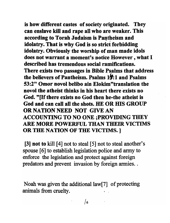is how different castes of society originated. They can enslave kill and rape all who are weaker. This according to Torah Judaism is Pantheism and idolatry. That is why God is so strict forbidding idolatry. Obviously the worship of man made idols does not warrant a moment's notice However, what I described has tremendous social ramifications. There exists two passages in Bible Psalms that address the believers of Pantheism. Psalms  $1\frac{1}{2}$ : 1 and Psalms 53:2" Omor novol belibo ain Elokim"translation the novol the atheist thinks in his heart there exists no God. "[If there exists no God then he-the atheist is God and can call all the shots. HE OR HIS GROUP OR NATION NEED NOT GIVE AN ACCOUNTING TO NO ONE ;PROVIDING THEY ARE MORE POWERFUL THAN THEIR VICTIMS OR THE NATION OF THE VICTIMS. ]

[3] not to kill [4] not to steal [5] not to steal another's spouse [6] to establish legislation police and army to enforce the legislation and protect against foreign predators and prevent invasion by foreign armies...

Noah was given the additional law $[7]$  of protecting animals from cruelty.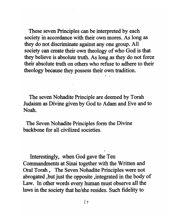These seven Principles can be interpreted by each society in accordance with their own mores. As long as they do not discriminate against anyone group. All society can create their own theology of who God is that they believe is absolute truth. As long as they do not force their absolute truth on others who refuse to adhere to their theology because they possess their own tradition.

The seven Nohadite Principle are deemed by Torah Judaism as Divine given by God to Adam and Eve and to Noah.

The Seven Nohadite Principles form the Divine backbone for all civilized societies.

Interestingly, when God gave the Ten Commandments at Sinai together with the Written and Oral Torah, The Seven Nohadite Principles were not abrogated ,but just the opposite ,integrated in the body of Law. In other words every human must observe all the laws in the society that he/she resides. Such fidelity to

, .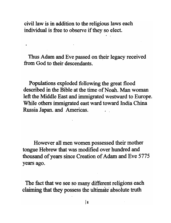civil law is in addition to the religious laws each individual is free to observe if they so elect.

•

Thus Adam and Eve passed on their legacy received from God to their descendants.

Populations exploded following the great flood described in the Bible at the time of Noah. Man woman left the Middle East and immigrated westward to Europe. While others immigrated east ward toward India China Russia Japan. and Americas.

However all men women possessed their mother tongue Hebrew that was modified over hundred and thousand of years since Creation of Adam and Eve 5775 years ago.

The fact that we see so many different religions each claiming that they possess the ultimate absolute truth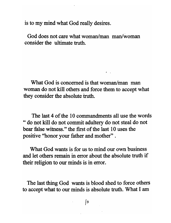is to my mind what God really desires.

God does not care what woman/man man/woman consider the ultimate truth.

What God is concerned is that woman/man man woman do not kill others and force them to accept what they consider the absolute truth.

The last 4 of the 10 commandments all use the words " do not kill do not commit adultery do not steal do not bear false witness." the first of the last 10 uses the positive "honor your father and mother".

What God wants is for us to mind our own business and let others remain in error about the absolute truth if their religion to our minds is in error.

The last thing God wants is blood shed to force others to accept what to our minds is absolute truth. What I am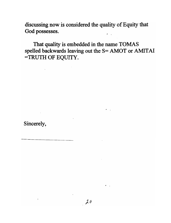discussing now is considered the quality of Equity that God possesses.  $\epsilon$  , and  $\epsilon$ 

That quality is embedded in the name TOMAS spelled backwards leaving out the S= AMOT or AMITAI =TRUTH OF EQUITY.

 $\bullet$  .

Sincerely,

 $\mathbf{u}$ 

 $\ddot{\phantom{a}}$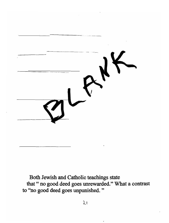

Both Jewish and Catholic teachings state that " no good deed goes unrewarded." What a contrast to "no good deed goes unpunished. "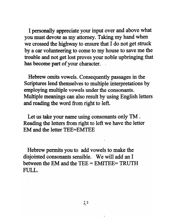I personally· appreciate your input over and above what you must devote as my attorney. Taking my hand when we crossed the highway to ensure that I do not get struck by a car volunteering to come to my house to save me the trouble and not get lost proves your noble upbringing that has become part of your character.

Hebrew omits vowels. Consequently passages in the Scriptures lend themselves to multiple interpretations by employing multiple vowels under the consonants. Multiple meanings can also result by using English letters and reading the word from right to left.

Let us take your name using consonants only TM . Reading the letters from right to left we have the letter EM and the letter TEE EMTEE

Hebrew permits you to add vowels to make the disjointed consonants sensible. We will add an I between the EM and the  $TEE = EMTTEE = TRUTH$ FULL.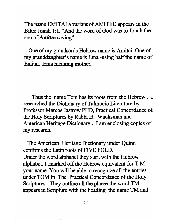The name EMITAI a variant of AMITEE appears in the -Bible Jonah 1:1. "And the word of God was to Jonah the son of Amitai saying"

One of my grandson's Hebrew name is Amitai. One of my granddaughter's name is Ema -using half the name of Emitai. .Ema meaning mother.

Thus the name Tom has its roots from the Hebrew. I researched the Dictionary of Talmudic Literature by Professor Marcos Jastrow PHD, Practical Concordance of the Holy Scriptures by Rabbi H. Wachsman and American Heritage Dictionary. I am enclosing copies of my research.

The American Heritage Dictionary under Quinn confirms the Latin roots of FIVE FOLD. Under the word alphabet they start with the Hebrew alphabet. I , marked off the Hebrew equivalent for  $T M$ your name. You will be able to recognize all the entries under TOM in The Practical Concordance of the Holy Scriptures . They outline all the places the word TM appears in Scripture with the heading the name TM and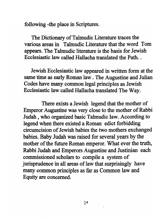following -the place in Scriptures.

The Dictionary of Talmudic Literature traces the various areas in Talmudic Literature that the word Tom appears. The Talmudic literature is the basis for Jewish Ecclesiastic law called Ha1lacha translated the Path. .

Jewish Ecclesiastic law appeared in written form at the same time as early Roman law . The Augustine and Julian Codes have many common legal principles as Jewish Ecclesiastic law called Hallacha translated The Way.

There exists a Jewish legend that the mother of Emperor Augustine was very close to the mother of Rabbi Judah, who organized basic Talmudic law. According to legend when there existed a Roman edict forbidding circumcision of Jewish babies the two mothers exchanged babies. Baby Judah was raised for several years by the mother of the future Roman emperor. What ever the truth, Rabbi Judah and Emperors Augustine and Justinian each commissioned scholars to compile a system of jurisprudence in all areas of law that surprisingly have many common principles as far as Common law and Equity are concerned.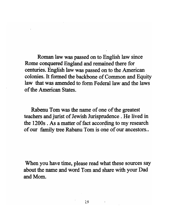Roman law was passed on to English law since Rome conquered England and remained there for centuries. English law was passed on to the American colonies. It formed the backbone of Common and Equity law that was amended to form Federal law and the laws of the American States.

Rabenu Tom was the name of one of the greatest teachers and jurist of Jewish Jurisprudence. He lived in the 1200s. As a matter of fact according to my research of our family tree Rabanu Tom is one of our ancestors ..

When you have time, please read what these sources say about the name and word Tom and share with your Dad and Mom.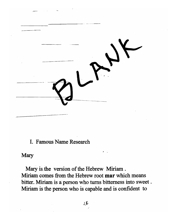-----\_.--\_ .. \_\_ .\_-- -------\_.\_-.\_------- ----------

#### I. Famous Name Research

#### Mary

.-..:--'

Mary is the version of the Hebrew Miriam. Miriam comes from the Hebrew root mar which means bitter. Miriam is a person who turns bitterness into sweet. Miriam is the person who is capable and is confident to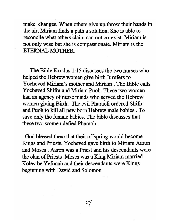make changes. When others give up throw their hands in the air, Miriam finds a path a solution. She is able to reconcile what others claim can not co-exist. Miriam is not only wise but she is compassionate. Miriam is the ETERNAL MOTHER.

The Bible Exodus 1:15 discusses the two nurses who helped the Hebrew women give birth It refers to Yocheved Miriam's mother and Miriam. The Bible calls Yocheved Shifra and Miriam Puoh. These two women had an agency of nurse maids who served the Hebrew women giving Birth. The evil Pharaoh ordered Shifra and Puoh to kill all new born Hebrew male babies. To save only the female babies. The bible discusses that these two women defied Pharaoh.

God blessed them that their offspring would become Kings and Priests. Y ocheved gave birth to Miriam Aaron and Moses . Aaron was a Priest and his descendants were the clan of Priests .Moses was a King Miriam married Kolev be Yefunah and their descendants were Kings beginning with David and Solomon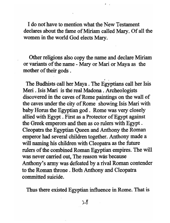I do not have to mention what the New Testament declares about the fame of Miriam called Mary. Of all the women in the world God elects Mary.

Other religions also copy the name and declare Miriam or variants of the name - Mary or Mari or Maya as the mother of their gods .

. .

The Budhists call her Maya. The Egyptians call her Isis Meri . Isis Mari is the real Madona . Archeologists discovered in the caves of Rome paintings on the wall of the caves under the city of Rome showing Isis Marl with baby Horus the Egyptian god. Rome was very closely allied with Egypt. First as a Protector of Egypt against the Greek emperors and then as co rulers with Egypt. Cleopatra the Egyptian Queen and Anthony the Roman emperor had several children together. Anthony made a will naming his children with Cleopatra as the future rulers of the combined Roman Egyptian empires. The will was never carried out, The reason was because Anthony's army was defeated by a rival Roman contender to the Roman throne . Both Anthony and Cleopatra committed suicide.

Thus there existed Egyptian influence in Rome. That is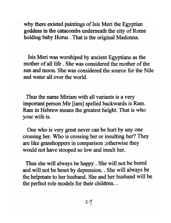why there existed paintings of Isis Meri the Egyptian goddess in the catacombs underneath the city of Rome holding baby Horus. That is the original Madonna.

Isis Meri was worshiped by ancient Egyptians as the mother of all life . She was considered the mother of the sun and moon. She was considered the source for the Nile and water all over the world.

Thus the name Miriam with all variants is a very important person Mir [iam] spelled backwards is Ram. Ram in Hebrew means the greatest height. That is who your wife is.

One who is very great never can be hurt by anyone crossing her. Who is crossing her or insulting her? They are like grasshoppers in comparison ;otherwise they would not have stooped so low and insult her.

Thus she will always be happy . She will not be bored and will not be beset by depression .. She will always be the helpmate to her husband. She and her husband will be the perfect role models for their children. .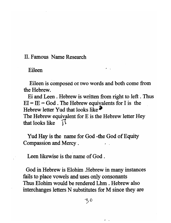#### II. Famous Name Research

#### Eileen

Eileen is composed or two words and both come from the Hebrew.

Ei and Leen . Hebrew is written from right to left. Thus  $EI = IE = God$ . The Hebrew equivalents for I is the Hebrew letter Yud that looks like<sup>2</sup>

The Hebrew equivalent for E is the Hebrew letter Hey that looks like  $\hat{1}$ 

Yud Hay is the name for God -the God of Equity Compassion and Mercy.

Leen likewise is the name of God.

God in Hebrew is Elohim .Hebrew in many instances fails to place vowels and uses only consonants Thus Elohim would be rendered Lhm . Hebrew also interchanges letters N substitutes for M since they are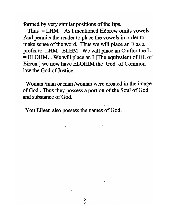formed by very similar positions of the lips.

Thus = LHM As I mentioned Hebrew omits vowels. And permits the reader to place the vowels in order to make sense of the word. Thus we will place an E as a prefix to LHM= ELHM. We will place an O after the L = ELOHM .. We will place an I [The equivalent of EE of Eileen] we now have ELOHIM the God of Common law the God of Justice.

Woman /man or man /woman were created in the image of God. Thus they possess a portion of the Soul of God and substance of God.

You Eileen also possess the names of God.

, .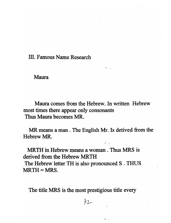#### III. Famous Name Research

i<br>1970 - Johann Barnett, frysk politiker<br>1970 - Johann Barnett, frysk politiker

#### Maura

Maura comes from the Hebrew. In written Hebrew most times there appear only consonants Thus Maura becomes MR.

MR means a man . The English Mr. Is detived from the Hebrew MR.

MRTH in Hebrew means a woman. Thus MRS is derived from the Hebrew MRTH The Hebrew letter TH is also pronounced S . THUS  $MRTH = MRS$ .

The title MRS is the most prestigious title every

, .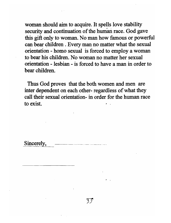woman should aim to acquire. It spells love stability security and continuation of the human race. God gave this gift only to woman. No man how famous or powerful can bear children . Every man no matter what the sexual orientation - homo sexual is forced to employ a woman to bear his children. No woman no matter her sexual orientation - lesbian - is forced to have a man in order to bear children.

Thus God proves that the both women and men are inter dependent on each other- regardless of what they call their sexual orientation- in order for the human race to exist.

Sincerely,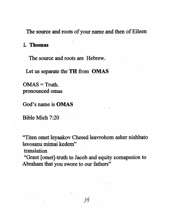The source and roots of your name and then of Eileen

#### I. Thomas

The source and roots are Hebrew.

Let us separate the TH from OMAS

 $OMAS = Truth.$ pronounced omas

God's name is **OMAS** 

Bible Mich 7:20

"Titen omet leyaakov Chesed leavrohom asher nishbato lavosanu mimai kedem"

translation

"Grant [omet]-truth to Jacob and equity comapssion to Abraham that you swore to our fathers"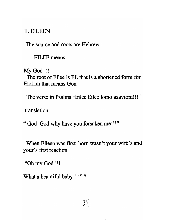II. EILEEN

The source and roots are Hebrew

EILEE means

My God !!!

The root of Eilee is EL that is a shortened form for Elokim that means God

The verse in Psalms "Eilee Eilee lomo azavtoni!!! "

translation

"God God why have you forsaken me!!!"

When Eileen was first born wasn't your wife's and your's first reaction

"Oh my God I!!

What a beautiful baby !!!"?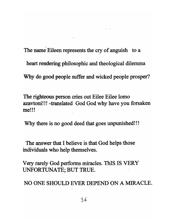, The name Eileen represents the cry of anguish to a

heart rendering philosophic and theological dilemma

Why do good people suffer and wicked people prosper?

The righteous person cries out Eilee Eilee lomo azavtoni!!! -translated God God why have you forsaken me!!!

Why there is no good deed that goes unpunished!!!

The answer that I believe is that God helps those individuals who help themselves.

Very rarely God perfonns miracles. ThIS IS VERY UNFORTUNATE; BUT TRUE.

NO ONE SHOULD EVER DEPEND ON A MIRACLE.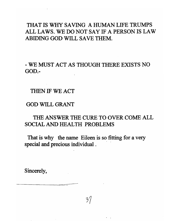#### THAT IS WHY SAVING A HUMAN LIFE TRUMPS ALL LAWS. WE DO NOT SAY IF A PERSON IS LAW ABIDING GOD WILL SAVE THEM.

- WE MUST ACT AS THOUGH THERE EXISTS NO GOD.-

THEN IF WE ACT

GOD WILL GRANT

#### THE ANSWER THE CURE TO OVER COME ALL SOCIAL AND HEALTH PROBLEMS

That is why the name Eileen is so fitting for a very special and precious individual.

Sincerely,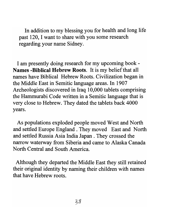In addition to my blessing you for health and long life past 120, I want to share with you some research regarding your name Sidney.

I am presently doing research for my upcoming book - Names -Biblical Hebrew Roots. It is my belief that all names have Biblical Hebrew Roots. Civilization began in the Middle East in Semitic language areas. In 1907 Archeologists discovered in Iraq 10,000 tablets comprising the Hammurabi Code written in a Semitic language that is very close to Hebrew. They dated the tablets back 4000 years.

As populations exploded people moved West and North and settled Europe England. They moved East and North and settled Russia Asia India Japan . They crossed the narrow waterway from Siberia and came to Alaska Canada North Central and South America.

Although they departed the Middle East they still retained their original identity by naming their children with names that have Hebrew roots.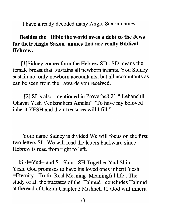I have already decoded many Anglo Saxon names.

#### Besides the Bible the world owes a debt to the Jews for their Anglo Saxon names that are really Biblical Hebrew.

[1]Sidney comes form the Hebrew SD . SD means the female breast that sustains all newborn infants. You Sidney sustain not only newborn accountants, but all accountants as can be seen from the awards you received.

[2] SI is also mentioned in Proverbs 8:21." Lehanchil Ohavai Yesh Veotzraihem Amalai" "To have my beloved inherit YESH and their treasures will I fill."

Your name Sidney is divided We will focus on the first two letters SI . We will read the letters backward since Hebrew is read from right to left.

IS  $-I=Yud=$  and  $S=$  Shin  $=$  SH Together Yud Shin  $=$ Yesh. God promises to have his loved ones inherit Yesh  $=$  Eternity  $=$  Truth=Real Meaning=Meaningful life. The study of all the tractates of the Talmud concludes Talmud at the end ofUkzim Chapter 3 Mishneh 12 God will inherit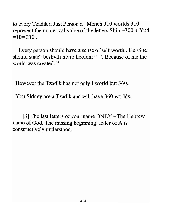to every Tzadik a Just Person a Mench 310 worlds 310 represent the numerical value of the letters Shin =300 + Yud  $=10= 310$ .

Every person should have a sense of self worth . He /She should state" beshvili nivro hoolom " ". Because of me the world was created. "

However the Tzadik has not only I world but 360.

You Sidney are a Tzadik and will have 360 worlds.

[3] The last letters of your name DNEY =The Hebrew name of God. The missing beginning letter of A is constructively understood.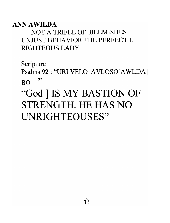#### **ANN AWILDA**

NOT A TRIFLE OF BLEMISHES UNJUST BEHAVIOR THE PERFECT L **RIGHTEOUS LADY** 

Scripture

Psalms 92 : "URI VELO AVLOSO[AWLDA] ,, **BO** 

# "God | IS MY BASTION OF STRENGTH. HE HAS NO UNRIGHTEOUSES"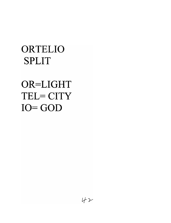### **ORTELIO SPLIT**

### **OR=LIGHT** TEL=CITY  $IO = GOD$

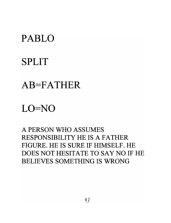### PABLO

#### SPLIT

#### $AB=FATHER$

 $LO=NO$ 

A PERSON WHO ASSUMES RESPONSIBILITY HE **IS** A FATHER FIGURE. HE **IS** SURE IF HIMSELF. HE DOES NOT HESITATE TO SAY NO IF HE BELIEVES SOMETHING **IS** WRONG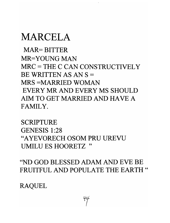#### MARCELA

 $MAR = BITTER$ MR=YOUNG MAN MRC = THE C CAN CONSTRUCTIVELY BE WRITTEN AS AN  $S =$ MRS =MARRIED WOMAN EVERY MR AND EVERY MS SHOULD AIM TO GET MARRIED AND HAVE A FAMILY.

SCRIPTURE GENESIS 1:28 "A YEVORECH OSOM PRU UREVU UMILU ES HOORETZ "

"ND GOD BLESSED ADAM AND EVE BE FRUITFUL AND POPULATE THE EARTH "

RAQUEL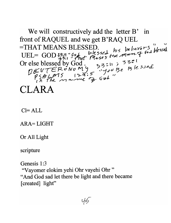We will constructively add the letter B' in front of RAQUEL and we get B'RAQ UEL UEL= GOD 33:4" Get blessed the man 7 fod blessed<br>Or else blessed by God.<br> $p \in VTER$  or to  $m y$ <br> $p \in VTER$  or to  $m y$ <br> $p \in VTER$  or to  $m y$ <br> $p \in VTER$  or to  $m y$ <br> $p \in VTER$  or the  $m \sim m e^{i\pi/3}$ <br> $m \in V$ 

#### **CLARA**

 $Cl = ALL$ 

 $ARA = LIGHT$ 

Or All Light

scripture

Genesis 1:3 "Vayomer elokim yehi Ohr vayehi Ohr" "And God sad let there be light and there became [created] light"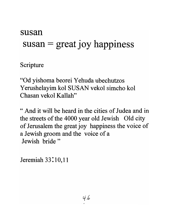#### susan  $susan = great$  joy happiness

Scripture

"Od yishoma beorei Yehuda ubechutzos Yerushelayim kol SUSAN vekol simcho kol Chasan vekol Kallah"

" And it will be heard in the cities of Judea and in the streets of the 4000 year old Jewish Old city of Jerusalem the great joy happiness the voice of a Jewish groom and the voice of a Jewish bride"

Jeremiah 33:10,11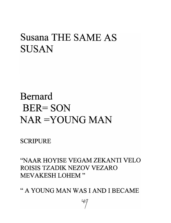#### **Susana THE SAME AS SUSAN**

### Bernard  $BER = SON$  $NAR = YOUNG MAN$

**SCRIPURE** 

"NAAR HOYISE VEGAM ZEKANTI VELO ROISIS TZADIK NEZOV VEZARO **MEVAKESH LOHEM**"

" A YOUNG MAN WAS I AND I BECAME

417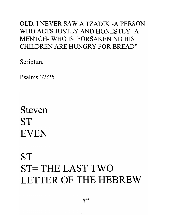#### OLD. I NEVER SAW A TZADIK -A PERSON WHO ACTS JUSTLY AND HONESTLY -A MENTCH- WHO IS FORSAKEN ND HIS CHILDREN ARE HUNGRY FOR BREAD"

Scripture

Psalms 37:25

#### Steven **ST** EVEN

# **ST** ST= THE LAST TWO LETTER OF THE HEBREW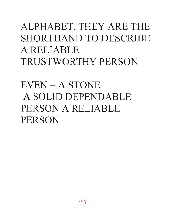### ALPHABET. THEY ARE THE SHORTHAND TO DESCRIBE A RELIABLE TRUSTWORTHY PERSON

### $EVEN = A STONE$ A SOLID DEPENDABLE PERSON A RELIABLE PERSON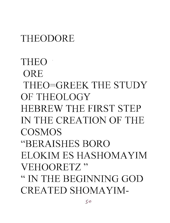## THEODORE

**THEO** ORE THEO=GREEK THE STUDY OF THEOLOGY **HEBREW THE FIRST STEP** IN THE CREATION OF THE **COSMOS** "BERAISHES BORO ELOKIM ES HASHOMAYIM VEHOORETZ" " IN THE BEGINNING GOD **CREATED SHOMAYIM-**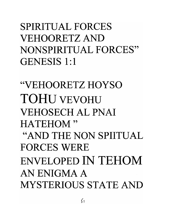### SPIRITUAL FORCES VEHOORETZ AND NONSPIRITUAL FORCES" GENESIS 1:1

"VEHOORETZ HOYSO TOHU VEVOHU VEHOSECH AL PNAI HATEHOM" "AND THE NON SPIITUAL FORCES WERE ENVELOPED IN TEHOM AN ENIGMA A MYSTERIOUS STATE AND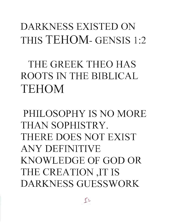# DARKNESS EXISTED ON THIS TEHOM- GENSIS 1:2

THE GREEK THEO HAS ROOTS IN THE BIBLICAL TEHOM

PHILOSOPHY IS NO MORE THAN SOPHISTRY. THERE DOES NOT EXIST ANY DEFINITIVE KNOWLEDGE OF GOD OR THE CREATION ,IT IS DARKNESS GUESSWORK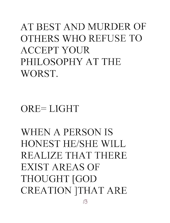### AT BEST AND MURDER OF OTHERS WHO REFUSE TO ACCEPT YOUR PHILOSOPHY AT THE WORST.

 $ORE= LIGHT$ 

WHEN A PERSON IS HONEST HE/SHE WILL REALIZE THAT THERE EXIST AREAS OF THOUGHT [GOD CREATION ]THAT ARE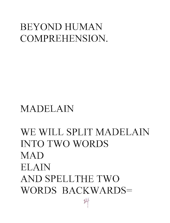### BEYOND HUMAN COMPREHENSION.

#### MADELAIN

# WE WILL SPLIT MADELAIN INTO TWO WORDS MAD **ELAIN** AND SPELLTHE TWO WORDS BACKWARDS=

*§Lt*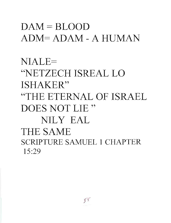### $DAM = BLOOD$ ADM== ADAM - A HUMAN

 $NIAIE=$ "NETZECH ISREAL LO ISHAKER" "THE ETERNAL OF ISRAEL DOES NOT LIE" NILY EAL THE SAME SCRIPTURE SAMUEL 1 CHAPTER 15:29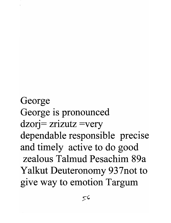George George is pronounced  $\text{dzori}$  = zrizutz =very dependable responsible precise and timely active to do good zealous Talmud Pesachim 89a Yalkut Deuteronomy 937not to give way to emotion Targum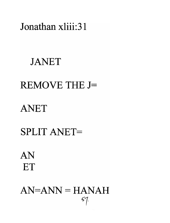# Jonathan xliii:31 **JANET REMOVE THE J=** ANET **SPLIT ANET=** AN ET  $AN=ANN = HANAH$  $57$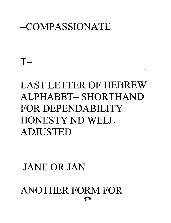#### =COMP ASSIONATE

 $T=$ 

## LAST LETTER OF HEBREW ALPHABET=SHORTHAND FOR DEPENDABILITY HONESTY ND WELL ADJUSTED

JANE OR JAN

ANOTHER FORM FOR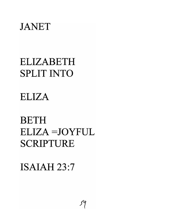

### **ELIZABETH SPLIT INTO**

**ELIZA** 

### **BETH ELIZA =JOYFUL SCRIPTURE**

**ISAIAH 23:7**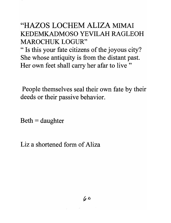#### "HAZOS LOCHEM ALIZA MIMAI KEDEMKADMOSO YEVILAH RAGLEOH MAROCHUK LOGUR"

" Is this your fate citizens of the joyous city? She whose antiquity is from the distant past. Her own feet shall carry her afar to live "

People themselves seal their own fate by their deeds or their passive behavior.

 $Beth = daughter$ 

Liz a shortened form of Aliza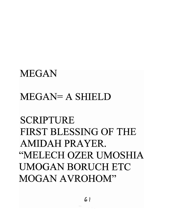#### **MEGAN**

#### $MEGAN = A SHIED$

## **SCRIPTURE** FIRST BLESSING OF THE AMIDAH PRAYER. "MELECH OZER UMOSHIA UMOGAN BORUCH ETC MOGAN AVROHOM"